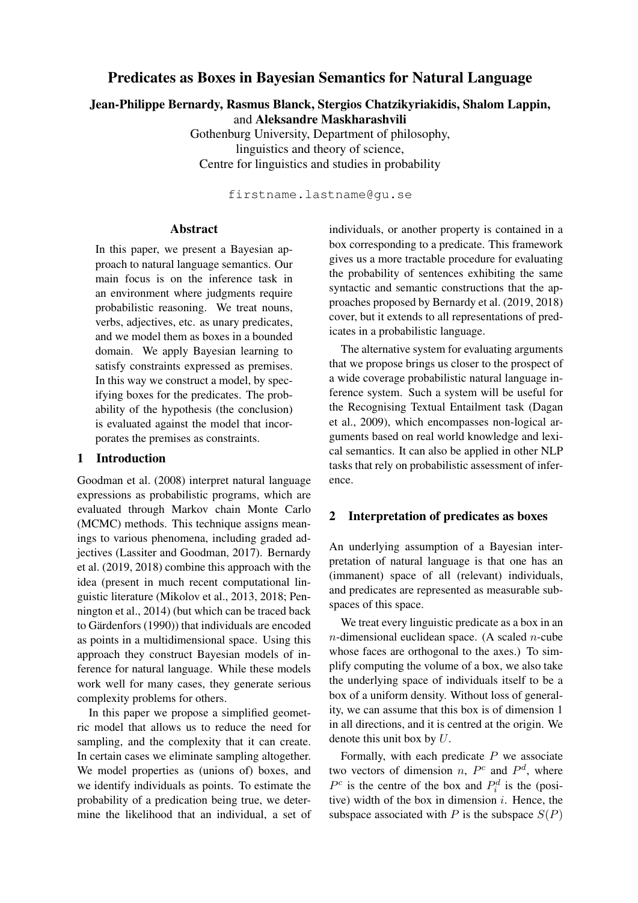# Predicates as Boxes in Bayesian Semantics for Natural Language

Jean-Philippe Bernardy, Rasmus Blanck, Stergios Chatzikyriakidis, Shalom Lappin, and Aleksandre Maskharashvili

> Gothenburg University, Department of philosophy, linguistics and theory of science, Centre for linguistics and studies in probability

> > firstname.lastname@gu.se

## Abstract

In this paper, we present a Bayesian approach to natural language semantics. Our main focus is on the inference task in an environment where judgments require probabilistic reasoning. We treat nouns, verbs, adjectives, etc. as unary predicates, and we model them as boxes in a bounded domain. We apply Bayesian learning to satisfy constraints expressed as premises. In this way we construct a model, by specifying boxes for the predicates. The probability of the hypothesis (the conclusion) is evaluated against the model that incorporates the premises as constraints.

### 1 Introduction

Goodman et al. (2008) interpret natural language expressions as probabilistic programs, which are evaluated through Markov chain Monte Carlo (MCMC) methods. This technique assigns meanings to various phenomena, including graded adjectives (Lassiter and Goodman, 2017). Bernardy et al. (2019, 2018) combine this approach with the idea (present in much recent computational linguistic literature (Mikolov et al., 2013, 2018; Pennington et al., 2014) (but which can be traced back to Gärdenfors (1990)) that individuals are encoded as points in a multidimensional space. Using this approach they construct Bayesian models of inference for natural language. While these models work well for many cases, they generate serious complexity problems for others.

In this paper we propose a simplified geometric model that allows us to reduce the need for sampling, and the complexity that it can create. In certain cases we eliminate sampling altogether. We model properties as (unions of) boxes, and we identify individuals as points. To estimate the probability of a predication being true, we determine the likelihood that an individual, a set of individuals, or another property is contained in a box corresponding to a predicate. This framework gives us a more tractable procedure for evaluating the probability of sentences exhibiting the same syntactic and semantic constructions that the approaches proposed by Bernardy et al. (2019, 2018) cover, but it extends to all representations of predicates in a probabilistic language.

The alternative system for evaluating arguments that we propose brings us closer to the prospect of a wide coverage probabilistic natural language inference system. Such a system will be useful for the Recognising Textual Entailment task (Dagan et al., 2009), which encompasses non-logical arguments based on real world knowledge and lexical semantics. It can also be applied in other NLP tasks that rely on probabilistic assessment of inference.

# 2 Interpretation of predicates as boxes

An underlying assumption of a Bayesian interpretation of natural language is that one has an (immanent) space of all (relevant) individuals, and predicates are represented as measurable subspaces of this space.

We treat every linguistic predicate as a box in an  $n$ -dimensional euclidean space. (A scaled  $n$ -cube whose faces are orthogonal to the axes.) To simplify computing the volume of a box, we also take the underlying space of individuals itself to be a box of a uniform density. Without loss of generality, we can assume that this box is of dimension 1 in all directions, and it is centred at the origin. We denote this unit box by  $U$ .

Formally, with each predicate  $P$  we associate two vectors of dimension *n*,  $P^c$  and  $P^d$ , where  $P^c$  is the centre of the box and  $P_i^d$  is the (positive) width of the box in dimension  $i$ . Hence, the subspace associated with P is the subspace  $S(P)$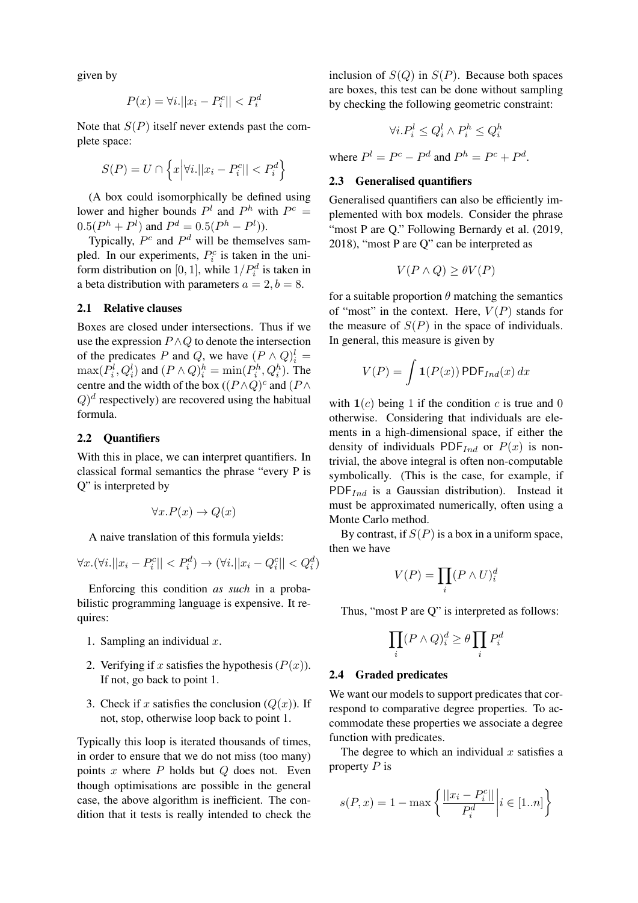given by

$$
P(x) = \forall i. ||x_i - P_i^c|| < P_i^d
$$

Note that  $S(P)$  itself never extends past the complete space:

$$
S(P) = U \cap \left\{ x \Big| \forall i. ||x_i - P_i^c|| < P_i^d \right\}
$$

(A box could isomorphically be defined using lower and higher bounds  $P^l$  and  $P^h$  with  $P^c =$  $0.5(P<sup>h</sup> + P<sup>l</sup>)$  and  $P<sup>d</sup> = 0.5(P<sup>h</sup> - P<sup>l</sup>)$ ).

Typically,  $P^c$  and  $P^d$  will be themselves sampled. In our experiments,  $P_i^c$  is taken in the uniform distribution on [0, 1], while  $1/P_i^d$  is taken in a beta distribution with parameters  $a = 2, b = 8$ .

#### 2.1 Relative clauses

Boxes are closed under intersections. Thus if we use the expression  $P \wedge Q$  to denote the intersection of the predicates P and Q, we have  $(P \wedge Q)^l_i =$  $\max(P_i^l, Q_i^l)$  and  $(P \wedge Q)_i^h = \min(P_i^h, Q_i^h)$ . The centre and the width of the box  $((P \wedge Q)^c$  and  $(P \wedge Q)^c$  $(Q)^d$  respectively) are recovered using the habitual formula.

#### 2.2 Quantifiers

With this in place, we can interpret quantifiers. In classical formal semantics the phrase "every P is Q" is interpreted by

$$
\forall x. P(x) \to Q(x)
$$

A naive translation of this formula yields:

$$
\forall x. (\forall i. ||x_i - P_i^c|| < P_i^d) \rightarrow (\forall i. ||x_i - Q_i^c|| < Q_i^d)
$$

Enforcing this condition *as such* in a probabilistic programming language is expensive. It requires:

- 1. Sampling an individual  $x$ .
- 2. Verifying if x satisfies the hypothesis  $(P(x))$ . If not, go back to point 1.
- 3. Check if x satisfies the conclusion  $(Q(x))$ . If not, stop, otherwise loop back to point 1.

Typically this loop is iterated thousands of times, in order to ensure that we do not miss (too many) points  $x$  where  $P$  holds but  $Q$  does not. Even though optimisations are possible in the general case, the above algorithm is inefficient. The condition that it tests is really intended to check the inclusion of  $S(Q)$  in  $S(P)$ . Because both spaces are boxes, this test can be done without sampling by checking the following geometric constraint:

$$
\forall i.P_i^l \le Q_i^l \land P_i^h \le Q_i^h
$$

where  $P^l = P^c - P^d$  and  $P^h = P^c + P^d$ .

## 2.3 Generalised quantifiers

Generalised quantifiers can also be efficiently implemented with box models. Consider the phrase "most P are Q." Following Bernardy et al. (2019, 2018), "most P are Q" can be interpreted as

$$
V(P \wedge Q) \ge \theta V(P)
$$

for a suitable proportion  $\theta$  matching the semantics of "most" in the context. Here,  $V(P)$  stands for the measure of  $S(P)$  in the space of individuals. In general, this measure is given by

$$
V(P) = \int \mathbf{1}(P(x)) \, \text{PDF}_{Ind}(x) \, dx
$$

with  $\mathbf{1}(c)$  being 1 if the condition c is true and 0 otherwise. Considering that individuals are elements in a high-dimensional space, if either the density of individuals PDF<sub>Ind</sub> or  $P(x)$  is nontrivial, the above integral is often non-computable symbolically. (This is the case, for example, if  $PDF_{Ind}$  is a Gaussian distribution). Instead it must be approximated numerically, often using a Monte Carlo method.

By contrast, if  $S(P)$  is a box in a uniform space, then we have

$$
V(P) = \prod_i (P \wedge U)_i^d
$$

Thus, "most P are Q" is interpreted as follows:

$$
\prod_i (P \wedge Q)_i^d \ge \theta \prod_i P_i^d
$$

#### 2.4 Graded predicates

We want our models to support predicates that correspond to comparative degree properties. To accommodate these properties we associate a degree function with predicates.

The degree to which an individual  $x$  satisfies a property  $P$  is

$$
s(P, x) = 1 - \max \left\{ \frac{||x_i - P_i^c||}{P_i^d} \middle| i \in [1..n] \right\}
$$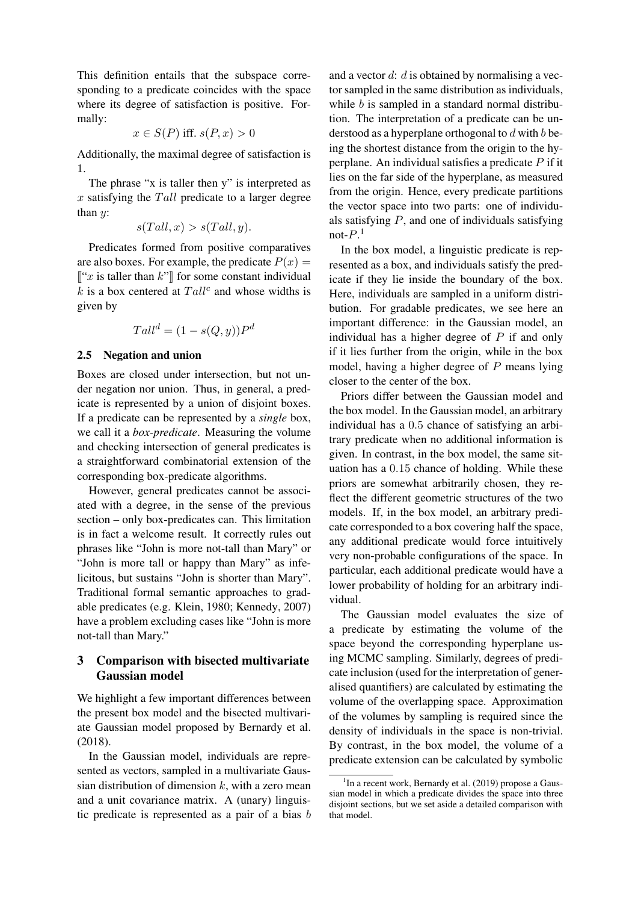This definition entails that the subspace corresponding to a predicate coincides with the space where its degree of satisfaction is positive. Formally:

$$
x \in S(P)
$$
 iff.  $s(P, x) > 0$ 

Additionally, the maximal degree of satisfaction is 1.

The phrase "x is taller then y" is interpreted as  $x$  satisfying the  $Tall$  predicate to a larger degree than  $y$ :

$$
s(Tall, x) > s(Tall, y).
$$

Predicates formed from positive comparatives are also boxes. For example, the predicate  $P(x) =$  $\lbrack x$  is taller than  $k$ " for some constant individual  $k$  is a box centered at  $Tall^c$  and whose widths is given by

$$
Tall^d = (1 - s(Q, y))P^d
$$

### 2.5 Negation and union

Boxes are closed under intersection, but not under negation nor union. Thus, in general, a predicate is represented by a union of disjoint boxes. If a predicate can be represented by a *single* box, we call it a *box-predicate*. Measuring the volume and checking intersection of general predicates is a straightforward combinatorial extension of the corresponding box-predicate algorithms.

However, general predicates cannot be associated with a degree, in the sense of the previous section – only box-predicates can. This limitation is in fact a welcome result. It correctly rules out phrases like "John is more not-tall than Mary" or "John is more tall or happy than Mary" as infelicitous, but sustains "John is shorter than Mary". Traditional formal semantic approaches to gradable predicates (e.g. Klein, 1980; Kennedy, 2007) have a problem excluding cases like "John is more not-tall than Mary."

# 3 Comparison with bisected multivariate Gaussian model

We highlight a few important differences between the present box model and the bisected multivariate Gaussian model proposed by Bernardy et al. (2018).

In the Gaussian model, individuals are represented as vectors, sampled in a multivariate Gaussian distribution of dimension  $k$ , with a zero mean and a unit covariance matrix. A (unary) linguistic predicate is represented as a pair of a bias b and a vector  $d: d$  is obtained by normalising a vector sampled in the same distribution as individuals, while  $b$  is sampled in a standard normal distribution. The interpretation of a predicate can be understood as a hyperplane orthogonal to  $d$  with  $b$  being the shortest distance from the origin to the hyperplane. An individual satisfies a predicate  $P$  if it lies on the far side of the hyperplane, as measured from the origin. Hence, every predicate partitions the vector space into two parts: one of individuals satisfying  $P$ , and one of individuals satisfying not- $P<sup>1</sup>$ 

In the box model, a linguistic predicate is represented as a box, and individuals satisfy the predicate if they lie inside the boundary of the box. Here, individuals are sampled in a uniform distribution. For gradable predicates, we see here an important difference: in the Gaussian model, an individual has a higher degree of  $P$  if and only if it lies further from the origin, while in the box model, having a higher degree of  $P$  means lying closer to the center of the box.

Priors differ between the Gaussian model and the box model. In the Gaussian model, an arbitrary individual has a 0.5 chance of satisfying an arbitrary predicate when no additional information is given. In contrast, in the box model, the same situation has a 0.15 chance of holding. While these priors are somewhat arbitrarily chosen, they reflect the different geometric structures of the two models. If, in the box model, an arbitrary predicate corresponded to a box covering half the space, any additional predicate would force intuitively very non-probable configurations of the space. In particular, each additional predicate would have a lower probability of holding for an arbitrary individual.

The Gaussian model evaluates the size of a predicate by estimating the volume of the space beyond the corresponding hyperplane using MCMC sampling. Similarly, degrees of predicate inclusion (used for the interpretation of generalised quantifiers) are calculated by estimating the volume of the overlapping space. Approximation of the volumes by sampling is required since the density of individuals in the space is non-trivial. By contrast, in the box model, the volume of a predicate extension can be calculated by symbolic

<sup>&</sup>lt;sup>1</sup>In a recent work, Bernardy et al. (2019) propose a Gaussian model in which a predicate divides the space into three disjoint sections, but we set aside a detailed comparison with that model.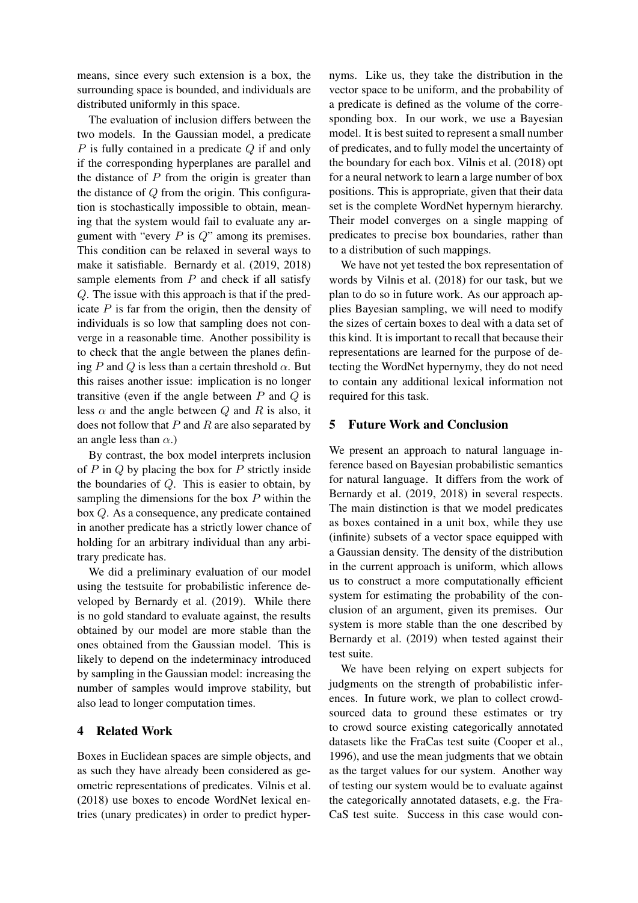means, since every such extension is a box, the surrounding space is bounded, and individuals are distributed uniformly in this space.

The evaluation of inclusion differs between the two models. In the Gaussian model, a predicate  $P$  is fully contained in a predicate  $Q$  if and only if the corresponding hyperplanes are parallel and the distance of  $P$  from the origin is greater than the distance of  $Q$  from the origin. This configuration is stochastically impossible to obtain, meaning that the system would fail to evaluate any argument with "every  $P$  is  $Q$ " among its premises. This condition can be relaxed in several ways to make it satisfiable. Bernardy et al. (2019, 2018) sample elements from  $P$  and check if all satisfy Q. The issue with this approach is that if the predicate  $P$  is far from the origin, then the density of individuals is so low that sampling does not converge in a reasonable time. Another possibility is to check that the angle between the planes defining P and Q is less than a certain threshold  $\alpha$ . But this raises another issue: implication is no longer transitive (even if the angle between  $P$  and  $Q$  is less  $\alpha$  and the angle between  $Q$  and  $R$  is also, it does not follow that  $P$  and  $R$  are also separated by an angle less than  $\alpha$ .)

By contrast, the box model interprets inclusion of  $P$  in  $Q$  by placing the box for  $P$  strictly inside the boundaries of  $Q$ . This is easier to obtain, by sampling the dimensions for the box  $P$  within the box Q. As a consequence, any predicate contained in another predicate has a strictly lower chance of holding for an arbitrary individual than any arbitrary predicate has.

We did a preliminary evaluation of our model using the testsuite for probabilistic inference developed by Bernardy et al. (2019). While there is no gold standard to evaluate against, the results obtained by our model are more stable than the ones obtained from the Gaussian model. This is likely to depend on the indeterminacy introduced by sampling in the Gaussian model: increasing the number of samples would improve stability, but also lead to longer computation times.

# 4 Related Work

Boxes in Euclidean spaces are simple objects, and as such they have already been considered as geometric representations of predicates. Vilnis et al. (2018) use boxes to encode WordNet lexical entries (unary predicates) in order to predict hyper-

nyms. Like us, they take the distribution in the vector space to be uniform, and the probability of a predicate is defined as the volume of the corresponding box. In our work, we use a Bayesian model. It is best suited to represent a small number of predicates, and to fully model the uncertainty of the boundary for each box. Vilnis et al. (2018) opt for a neural network to learn a large number of box positions. This is appropriate, given that their data set is the complete WordNet hypernym hierarchy. Their model converges on a single mapping of predicates to precise box boundaries, rather than to a distribution of such mappings.

We have not yet tested the box representation of words by Vilnis et al. (2018) for our task, but we plan to do so in future work. As our approach applies Bayesian sampling, we will need to modify the sizes of certain boxes to deal with a data set of this kind. It is important to recall that because their representations are learned for the purpose of detecting the WordNet hypernymy, they do not need to contain any additional lexical information not required for this task.

### 5 Future Work and Conclusion

We present an approach to natural language inference based on Bayesian probabilistic semantics for natural language. It differs from the work of Bernardy et al. (2019, 2018) in several respects. The main distinction is that we model predicates as boxes contained in a unit box, while they use (infinite) subsets of a vector space equipped with a Gaussian density. The density of the distribution in the current approach is uniform, which allows us to construct a more computationally efficient system for estimating the probability of the conclusion of an argument, given its premises. Our system is more stable than the one described by Bernardy et al. (2019) when tested against their test suite.

We have been relying on expert subjects for judgments on the strength of probabilistic inferences. In future work, we plan to collect crowdsourced data to ground these estimates or try to crowd source existing categorically annotated datasets like the FraCas test suite (Cooper et al., 1996), and use the mean judgments that we obtain as the target values for our system. Another way of testing our system would be to evaluate against the categorically annotated datasets, e.g. the Fra-CaS test suite. Success in this case would con